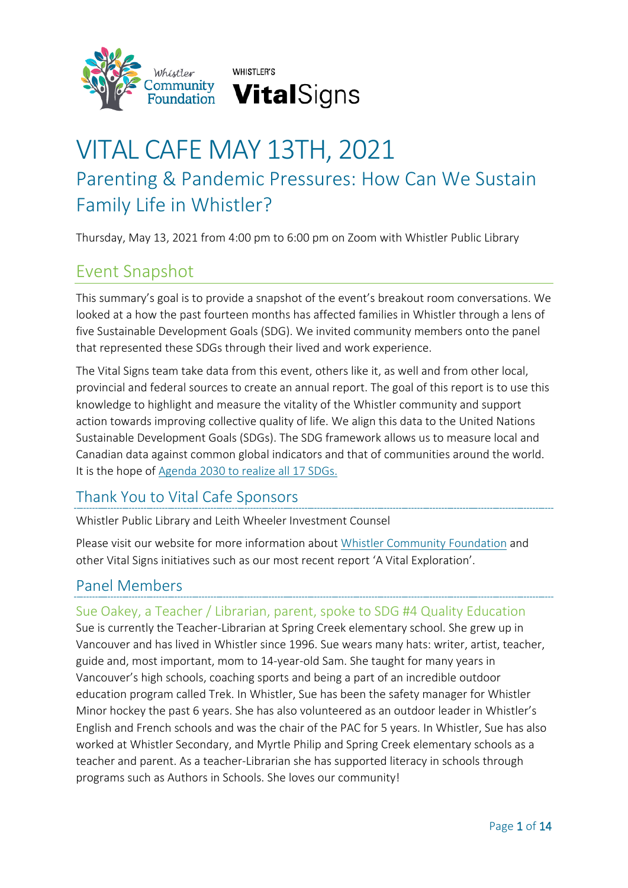



# VITAL CAFE MAY 13TH, 2021 Parenting & Pandemic Pressures: How Can We Sustain Family Life in Whistler?

Thursday, May 13, 2021 from 4:00 pm to 6:00 pm on Zoom with Whistler Public Library

## Event Snapshot

This summary's goal is to provide a snapshot of the event's breakout room conversations. We looked at a how the past fourteen months has affected families in Whistler through a lens of five Sustainable Development Goals (SDG). We invited community members onto the panel that represented these SDGs through their lived and work experience.

The Vital Signs team take data from this event, others like it, as well and from other local, provincial and federal sources to create an annual report. The goal of this report is to use this knowledge to highlight and measure the vitality of the Whistler community and support action towards improving collective quality of life. We align this data to the United Nations Sustainable Development Goals (SDGs). The SDG framework allows us to measure local and Canadian data against common global indicators and that of communities around the world. It is the hope of [Agenda 2030](https://sdgs.un.org/2030agenda) to realize all 17 SDGs.

### Thank You to Vital Cafe Sponsors

Whistler Public Library and Leith Wheeler Investment Counsel

Please visit our website for more information about [Whistler Community Foundation](https://whistlerfoundation.com/) and other Vital Signs initiatives such as our most recent report 'A Vital Exploration'.

## Panel Members

Sue Oakey, a Teacher / Librarian, parent, spoke to SDG #4 Quality Education Sue is currently the Teacher-Librarian at Spring Creek elementary school. She grew up in Vancouver and has lived in Whistler since 1996. Sue wears many hats: writer, artist, teacher, guide and, most important, mom to 14-year-old Sam. She taught for many years in Vancouver's high schools, coaching sports and being a part of an incredible outdoor education program called Trek. In Whistler, Sue has been the safety manager for Whistler Minor hockey the past 6 years. She has also volunteered as an outdoor leader in Whistler's English and French schools and was the chair of the PAC for 5 years. In Whistler, Sue has also worked at Whistler Secondary, and Myrtle Philip and Spring Creek elementary schools as a teacher and parent. As a teacher-Librarian she has supported literacy in schools through programs such as Authors in Schools. She loves our community!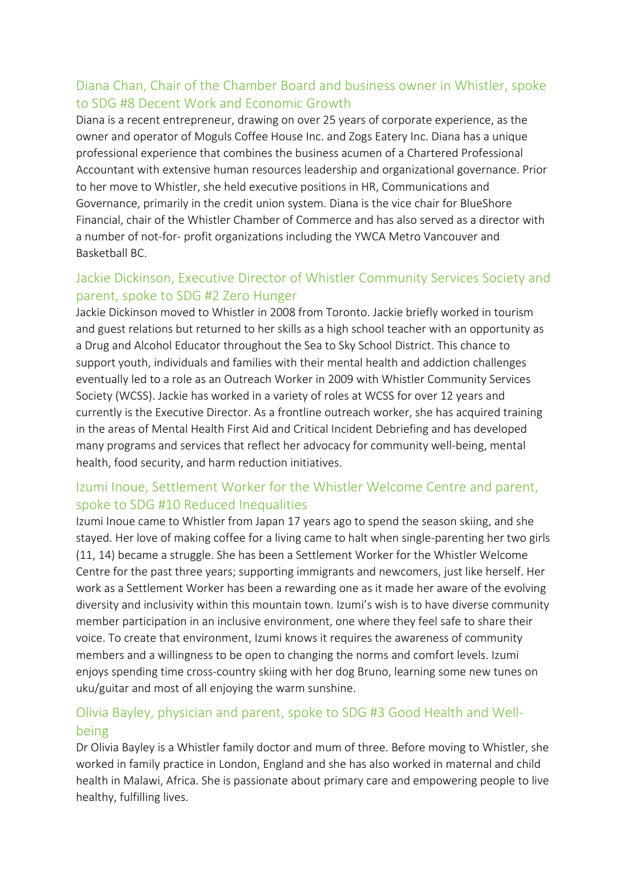### Diana Chan, Chair of the Chamber Board and business owner in Whistler, spoke to SDG #8 Decent Work and Economic Growth

Diana is a recent entrepreneur, drawing on over 25 years of corporate experience, as the owner and operator of Moguls Coffee House Inc. and Zogs Eatery Inc. Diana has a unique professional experience that combines the business acumen of a Chartered Professional Accountant with extensive human resources leadership and organizational governance. Prior to her move to Whistler, she held executive positions in HR, Communications and Governance, primarily in the credit union system. Diana is the vice chair for BlueShore Financial, chair of the Whistler Chamber of Commerce and has also served as a director with a number of not-for- profit organizations including the YWCA Metro Vancouver and Basketball BC.

### Jackie Dickinson, Executive Director of Whistler Community Services Society and parent, spoke to SDG #2 Zero Hunger

Jackie Dickinson moved to Whistler in 2008 from Toronto. Jackie briefly worked in tourism and guest relations but returned to her skills as a high school teacher with an opportunity as a Drug and Alcohol Educator throughout the Sea to Sky School District. This chance to support youth, individuals and families with their mental health and addiction challenges eventually led to a role as an Outreach Worker in 2009 with Whistler Community Services Society (WCSS). Jackie has worked in a variety of roles at WCSS for over 12 years and currently is the Executive Director. As a frontline outreach worker, she has acquired training in the areas of Mental Health First Aid and Critical Incident Debriefing and has developed many programs and services that reflect her advocacy for community well-being, mental health, food security, and harm reduction initiatives.

### Izumi Inoue, Settlement Worker for the Whistler Welcome Centre and parent, spoke to SDG #10 Reduced Inequalities

Izumi Inoue came to Whistler from Japan 17 years ago to spend the season skiing, and she stayed. Her love of making coffee for a living came to halt when single-parenting her two girls (11, 14) became a struggle. She has been a Settlement Worker for the Whistler Welcome Centre for the past three years; supporting immigrants and newcomers, just like herself. Her work as a Settlement Worker has been a rewarding one as it made her aware of the evolving diversity and inclusivity within this mountain town. Izumi's wish is to have diverse community member participation in an inclusive environment, one where they feel safe to share their voice. To create that environment, Izumi knows it requires the awareness of community members and a willingness to be open to changing the norms and comfort levels. Izumi enjoys spending time cross-country skiing with her dog Bruno, learning some new tunes on uku/guitar and most of all enjoying the warm sunshine.

### Olivia Bayley, physician and parent, spoke to SDG #3 Good Health and Wellbeing

Dr Olivia Bayley is a Whistler family doctor and mum of three. Before moving to Whistler, she worked in family practice in London, England and she has also worked in maternal and child health in Malawi, Africa. She is passionate about primary care and empowering people to live healthy, fulfilling lives.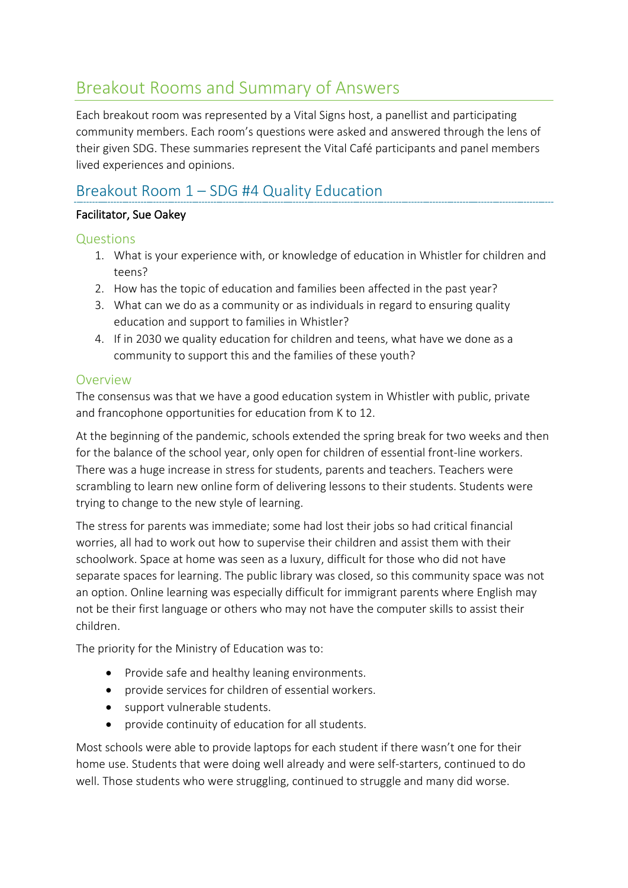## Breakout Rooms and Summary of Answers

Each breakout room was represented by a Vital Signs host, a panellist and participating community members. Each room's questions were asked and answered through the lens of their given SDG. These summaries represent the Vital Café participants and panel members lived experiences and opinions.

## Breakout Room 1 – SDG #4 Quality Education

#### Facilitator, Sue Oakey

#### Questions

- 1. What is your experience with, or knowledge of education in Whistler for children and teens?
- 2. How has the topic of education and families been affected in the past year?
- 3. What can we do as a community or as individuals in regard to ensuring quality education and support to families in Whistler?
- 4. If in 2030 we quality education for children and teens, what have we done as a community to support this and the families of these youth?

#### Overview

The consensus was that we have a good education system in Whistler with public, private and francophone opportunities for education from K to 12.

At the beginning of the pandemic, schools extended the spring break for two weeks and then for the balance of the school year, only open for children of essential front-line workers. There was a huge increase in stress for students, parents and teachers. Teachers were scrambling to learn new online form of delivering lessons to their students. Students were trying to change to the new style of learning.

The stress for parents was immediate; some had lost their jobs so had critical financial worries, all had to work out how to supervise their children and assist them with their schoolwork. Space at home was seen as a luxury, difficult for those who did not have separate spaces for learning. The public library was closed, so this community space was not an option. Online learning was especially difficult for immigrant parents where English may not be their first language or others who may not have the computer skills to assist their children.

The priority for the Ministry of Education was to:

- Provide safe and healthy leaning environments.
- provide services for children of essential workers.
- support vulnerable students.
- provide continuity of education for all students.

Most schools were able to provide laptops for each student if there wasn't one for their home use. Students that were doing well already and were self-starters, continued to do well. Those students who were struggling, continued to struggle and many did worse.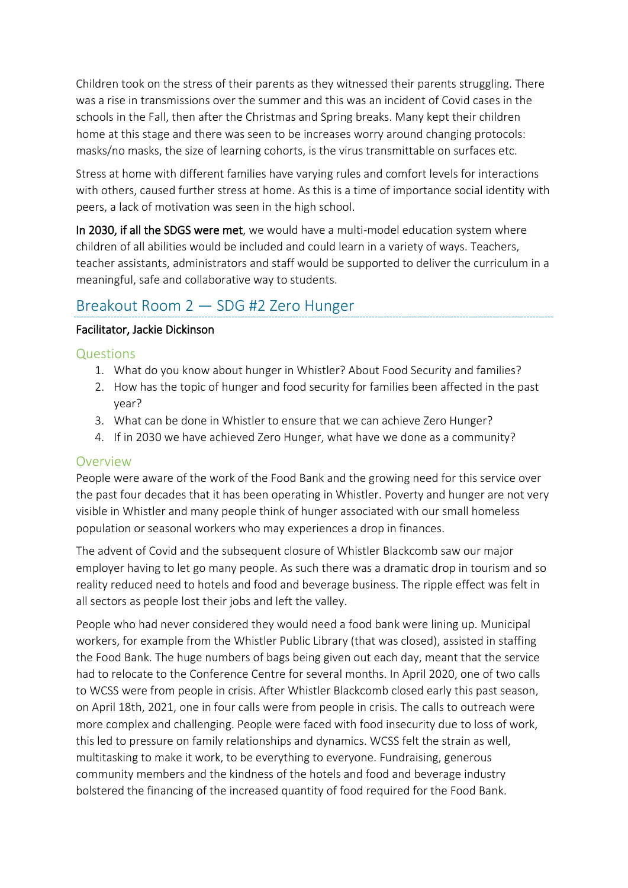Children took on the stress of their parents as they witnessed their parents struggling. There was a rise in transmissions over the summer and this was an incident of Covid cases in the schools in the Fall, then after the Christmas and Spring breaks. Many kept their children home at this stage and there was seen to be increases worry around changing protocols: masks/no masks, the size of learning cohorts, is the virus transmittable on surfaces etc.

Stress at home with different families have varying rules and comfort levels for interactions with others, caused further stress at home. As this is a time of importance social identity with peers, a lack of motivation was seen in the high school.

In 2030, if all the SDGS were met, we would have a multi-model education system where children of all abilities would be included and could learn in a variety of ways. Teachers, teacher assistants, administrators and staff would be supported to deliver the curriculum in a meaningful, safe and collaborative way to students.

## Breakout Room 2 — SDG #2 Zero Hunger

#### Facilitator, Jackie Dickinson

#### Questions

- 1. What do you know about hunger in Whistler? About Food Security and families?
- 2. How has the topic of hunger and food security for families been affected in the past year?
- 3. What can be done in Whistler to ensure that we can achieve Zero Hunger?
- 4. If in 2030 we have achieved Zero Hunger, what have we done as a community?

### Overview

People were aware of the work of the Food Bank and the growing need for this service over the past four decades that it has been operating in Whistler. Poverty and hunger are not very visible in Whistler and many people think of hunger associated with our small homeless population or seasonal workers who may experiences a drop in finances.

The advent of Covid and the subsequent closure of Whistler Blackcomb saw our major employer having to let go many people. As such there was a dramatic drop in tourism and so reality reduced need to hotels and food and beverage business. The ripple effect was felt in all sectors as people lost their jobs and left the valley.

People who had never considered they would need a food bank were lining up. Municipal workers, for example from the Whistler Public Library (that was closed), assisted in staffing the Food Bank. The huge numbers of bags being given out each day, meant that the service had to relocate to the Conference Centre for several months. In April 2020, one of two calls to WCSS were from people in crisis. After Whistler Blackcomb closed early this past season, on April 18th, 2021, one in four calls were from people in crisis. The calls to outreach were more complex and challenging. People were faced with food insecurity due to loss of work, this led to pressure on family relationships and dynamics. WCSS felt the strain as well, multitasking to make it work, to be everything to everyone. Fundraising, generous community members and the kindness of the hotels and food and beverage industry bolstered the financing of the increased quantity of food required for the Food Bank.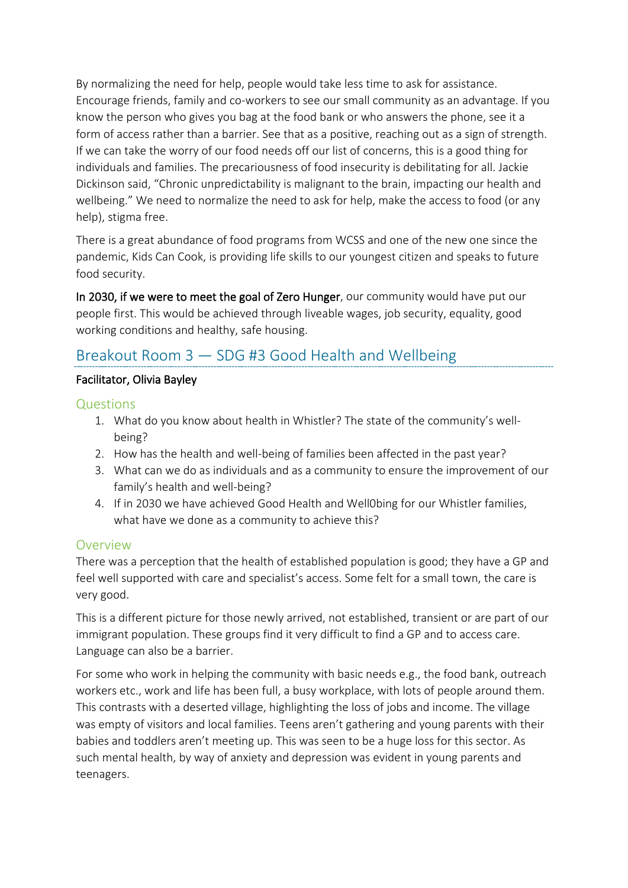By normalizing the need for help, people would take less time to ask for assistance. Encourage friends, family and co-workers to see our small community as an advantage. If you know the person who gives you bag at the food bank or who answers the phone, see it a form of access rather than a barrier. See that as a positive, reaching out as a sign of strength. If we can take the worry of our food needs off our list of concerns, this is a good thing for individuals and families. The precariousness of food insecurity is debilitating for all. Jackie Dickinson said, "Chronic unpredictability is malignant to the brain, impacting our health and wellbeing." We need to normalize the need to ask for help, make the access to food (or any help), stigma free.

There is a great abundance of food programs from WCSS and one of the new one since the pandemic, Kids Can Cook, is providing life skills to our youngest citizen and speaks to future food security.

In 2030, if we were to meet the goal of Zero Hunger, our community would have put our people first. This would be achieved through liveable wages, job security, equality, good working conditions and healthy, safe housing.

## Breakout Room 3 — SDG #3 Good Health and Wellbeing

#### Facilitator, Olivia Bayley

#### Questions

- 1. What do you know about health in Whistler? The state of the community's wellbeing?
- 2. How has the health and well-being of families been affected in the past year?
- 3. What can we do as individuals and as a community to ensure the improvement of our family's health and well-being?
- 4. If in 2030 we have achieved Good Health and Well0bing for our Whistler families, what have we done as a community to achieve this?

#### Overview

There was a perception that the health of established population is good; they have a GP and feel well supported with care and specialist's access. Some felt for a small town, the care is very good.

This is a different picture for those newly arrived, not established, transient or are part of our immigrant population. These groups find it very difficult to find a GP and to access care. Language can also be a barrier.

For some who work in helping the community with basic needs e.g., the food bank, outreach workers etc., work and life has been full, a busy workplace, with lots of people around them. This contrasts with a deserted village, highlighting the loss of jobs and income. The village was empty of visitors and local families. Teens aren't gathering and young parents with their babies and toddlers aren't meeting up. This was seen to be a huge loss for this sector. As such mental health, by way of anxiety and depression was evident in young parents and teenagers.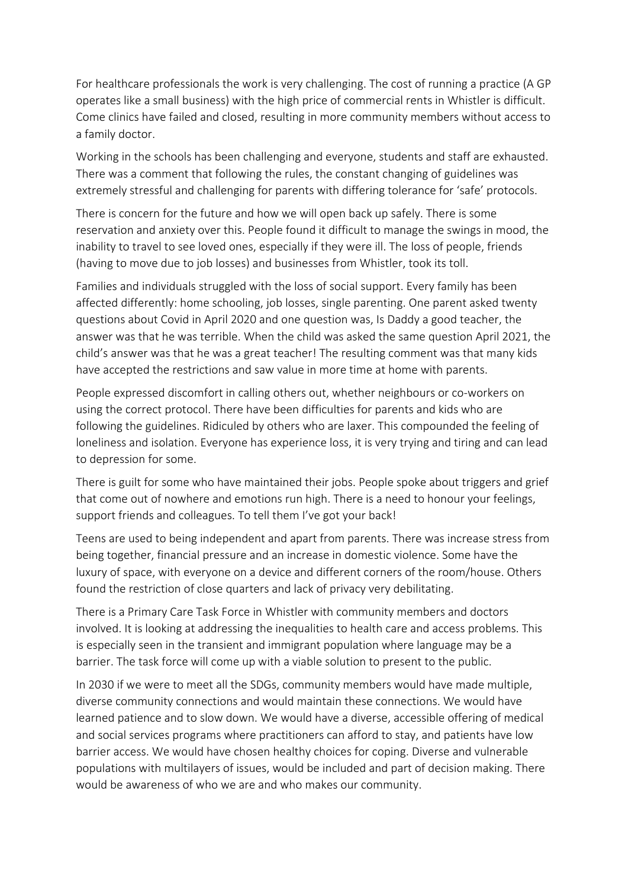For healthcare professionals the work is very challenging. The cost of running a practice (A GP operates like a small business) with the high price of commercial rents in Whistler is difficult. Come clinics have failed and closed, resulting in more community members without access to a family doctor.

Working in the schools has been challenging and everyone, students and staff are exhausted. There was a comment that following the rules, the constant changing of guidelines was extremely stressful and challenging for parents with differing tolerance for 'safe' protocols.

There is concern for the future and how we will open back up safely. There is some reservation and anxiety over this. People found it difficult to manage the swings in mood, the inability to travel to see loved ones, especially if they were ill. The loss of people, friends (having to move due to job losses) and businesses from Whistler, took its toll.

Families and individuals struggled with the loss of social support. Every family has been affected differently: home schooling, job losses, single parenting. One parent asked twenty questions about Covid in April 2020 and one question was, Is Daddy a good teacher, the answer was that he was terrible. When the child was asked the same question April 2021, the child's answer was that he was a great teacher! The resulting comment was that many kids have accepted the restrictions and saw value in more time at home with parents.

People expressed discomfort in calling others out, whether neighbours or co-workers on using the correct protocol. There have been difficulties for parents and kids who are following the guidelines. Ridiculed by others who are laxer. This compounded the feeling of loneliness and isolation. Everyone has experience loss, it is very trying and tiring and can lead to depression for some.

There is guilt for some who have maintained their jobs. People spoke about triggers and grief that come out of nowhere and emotions run high. There is a need to honour your feelings, support friends and colleagues. To tell them I've got your back!

Teens are used to being independent and apart from parents. There was increase stress from being together, financial pressure and an increase in domestic violence. Some have the luxury of space, with everyone on a device and different corners of the room/house. Others found the restriction of close quarters and lack of privacy very debilitating.

There is a Primary Care Task Force in Whistler with community members and doctors involved. It is looking at addressing the inequalities to health care and access problems. This is especially seen in the transient and immigrant population where language may be a barrier. The task force will come up with a viable solution to present to the public.

In 2030 if we were to meet all the SDGs, community members would have made multiple, diverse community connections and would maintain these connections. We would have learned patience and to slow down. We would have a diverse, accessible offering of medical and social services programs where practitioners can afford to stay, and patients have low barrier access. We would have chosen healthy choices for coping. Diverse and vulnerable populations with multilayers of issues, would be included and part of decision making. There would be awareness of who we are and who makes our community.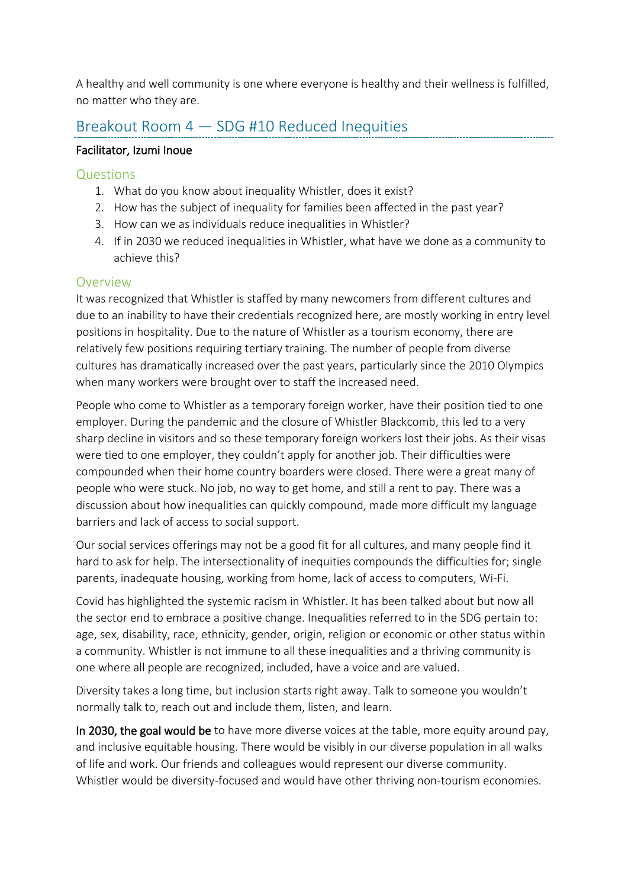A healthy and well community is one where everyone is healthy and their wellness is fulfilled, no matter who they are.

### Breakout Room 4 — SDG #10 Reduced Inequities

#### Facilitator, Izumi Inoue

#### Questions

- 1. What do you know about inequality Whistler, does it exist?
- 2. How has the subject of inequality for families been affected in the past year?
- 3. How can we as individuals reduce inequalities in Whistler?
- 4. If in 2030 we reduced inequalities in Whistler, what have we done as a community to achieve this?

#### Overview

It was recognized that Whistler is staffed by many newcomers from different cultures and due to an inability to have their credentials recognized here, are mostly working in entry level positions in hospitality. Due to the nature of Whistler as a tourism economy, there are relatively few positions requiring tertiary training. The number of people from diverse cultures has dramatically increased over the past years, particularly since the 2010 Olympics when many workers were brought over to staff the increased need.

People who come to Whistler as a temporary foreign worker, have their position tied to one employer. During the pandemic and the closure of Whistler Blackcomb, this led to a very sharp decline in visitors and so these temporary foreign workers lost their jobs. As their visas were tied to one employer, they couldn't apply for another job. Their difficulties were compounded when their home country boarders were closed. There were a great many of people who were stuck. No job, no way to get home, and still a rent to pay. There was a discussion about how inequalities can quickly compound, made more difficult my language barriers and lack of access to social support.

Our social services offerings may not be a good fit for all cultures, and many people find it hard to ask for help. The intersectionality of inequities compounds the difficulties for; single parents, inadequate housing, working from home, lack of access to computers, Wi-Fi.

Covid has highlighted the systemic racism in Whistler. It has been talked about but now all the sector end to embrace a positive change. Inequalities referred to in the SDG pertain to: age, sex, disability, race, ethnicity, gender, origin, religion or economic or other status within a community. Whistler is not immune to all these inequalities and a thriving community is one where all people are recognized, included, have a voice and are valued.

Diversity takes a long time, but inclusion starts right away. Talk to someone you wouldn't normally talk to, reach out and include them, listen, and learn.

In 2030, the goal would be to have more diverse voices at the table, more equity around pay, and inclusive equitable housing. There would be visibly in our diverse population in all walks of life and work. Our friends and colleagues would represent our diverse community. Whistler would be diversity-focused and would have other thriving non-tourism economies.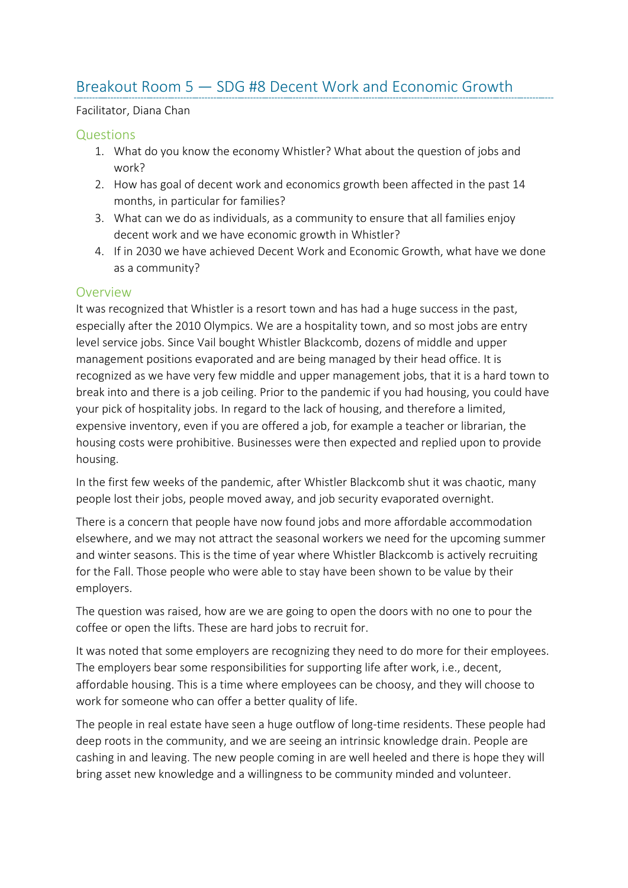## Breakout Room 5 — SDG #8 Decent Work and Economic Growth

#### Facilitator, Diana Chan

#### **Questions**

- 1. What do you know the economy Whistler? What about the question of jobs and work?
- 2. How has goal of decent work and economics growth been affected in the past 14 months, in particular for families?
- 3. What can we do as individuals, as a community to ensure that all families enjoy decent work and we have economic growth in Whistler?
- 4. If in 2030 we have achieved Decent Work and Economic Growth, what have we done as a community?

#### **Overview**

It was recognized that Whistler is a resort town and has had a huge success in the past, especially after the 2010 Olympics. We are a hospitality town, and so most jobs are entry level service jobs. Since Vail bought Whistler Blackcomb, dozens of middle and upper management positions evaporated and are being managed by their head office. It is recognized as we have very few middle and upper management jobs, that it is a hard town to break into and there is a job ceiling. Prior to the pandemic if you had housing, you could have your pick of hospitality jobs. In regard to the lack of housing, and therefore a limited, expensive inventory, even if you are offered a job, for example a teacher or librarian, the housing costs were prohibitive. Businesses were then expected and replied upon to provide housing.

In the first few weeks of the pandemic, after Whistler Blackcomb shut it was chaotic, many people lost their jobs, people moved away, and job security evaporated overnight.

There is a concern that people have now found jobs and more affordable accommodation elsewhere, and we may not attract the seasonal workers we need for the upcoming summer and winter seasons. This is the time of year where Whistler Blackcomb is actively recruiting for the Fall. Those people who were able to stay have been shown to be value by their employers.

The question was raised, how are we are going to open the doors with no one to pour the coffee or open the lifts. These are hard jobs to recruit for.

It was noted that some employers are recognizing they need to do more for their employees. The employers bear some responsibilities for supporting life after work, i.e., decent, affordable housing. This is a time where employees can be choosy, and they will choose to work for someone who can offer a better quality of life.

The people in real estate have seen a huge outflow of long-time residents. These people had deep roots in the community, and we are seeing an intrinsic knowledge drain. People are cashing in and leaving. The new people coming in are well heeled and there is hope they will bring asset new knowledge and a willingness to be community minded and volunteer.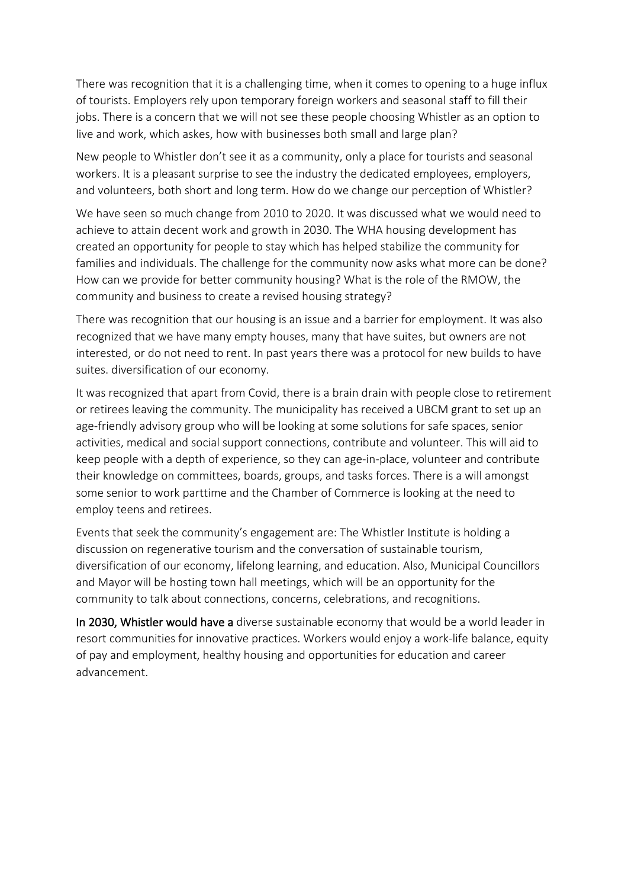There was recognition that it is a challenging time, when it comes to opening to a huge influx of tourists. Employers rely upon temporary foreign workers and seasonal staff to fill their jobs. There is a concern that we will not see these people choosing Whistler as an option to live and work, which askes, how with businesses both small and large plan?

New people to Whistler don't see it as a community, only a place for tourists and seasonal workers. It is a pleasant surprise to see the industry the dedicated employees, employers, and volunteers, both short and long term. How do we change our perception of Whistler?

We have seen so much change from 2010 to 2020. It was discussed what we would need to achieve to attain decent work and growth in 2030. The WHA housing development has created an opportunity for people to stay which has helped stabilize the community for families and individuals. The challenge for the community now asks what more can be done? How can we provide for better community housing? What is the role of the RMOW, the community and business to create a revised housing strategy?

There was recognition that our housing is an issue and a barrier for employment. It was also recognized that we have many empty houses, many that have suites, but owners are not interested, or do not need to rent. In past years there was a protocol for new builds to have suites. diversification of our economy.

It was recognized that apart from Covid, there is a brain drain with people close to retirement or retirees leaving the community. The municipality has received a UBCM grant to set up an age-friendly advisory group who will be looking at some solutions for safe spaces, senior activities, medical and social support connections, contribute and volunteer. This will aid to keep people with a depth of experience, so they can age-in-place, volunteer and contribute their knowledge on committees, boards, groups, and tasks forces. There is a will amongst some senior to work parttime and the Chamber of Commerce is looking at the need to employ teens and retirees.

Events that seek the community's engagement are: The Whistler Institute is holding a discussion on regenerative tourism and the conversation of sustainable tourism, diversification of our economy, lifelong learning, and education. Also, Municipal Councillors and Mayor will be hosting town hall meetings, which will be an opportunity for the community to talk about connections, concerns, celebrations, and recognitions.

In 2030, Whistler would have a diverse sustainable economy that would be a world leader in resort communities for innovative practices. Workers would enjoy a work-life balance, equity of pay and employment, healthy housing and opportunities for education and career advancement.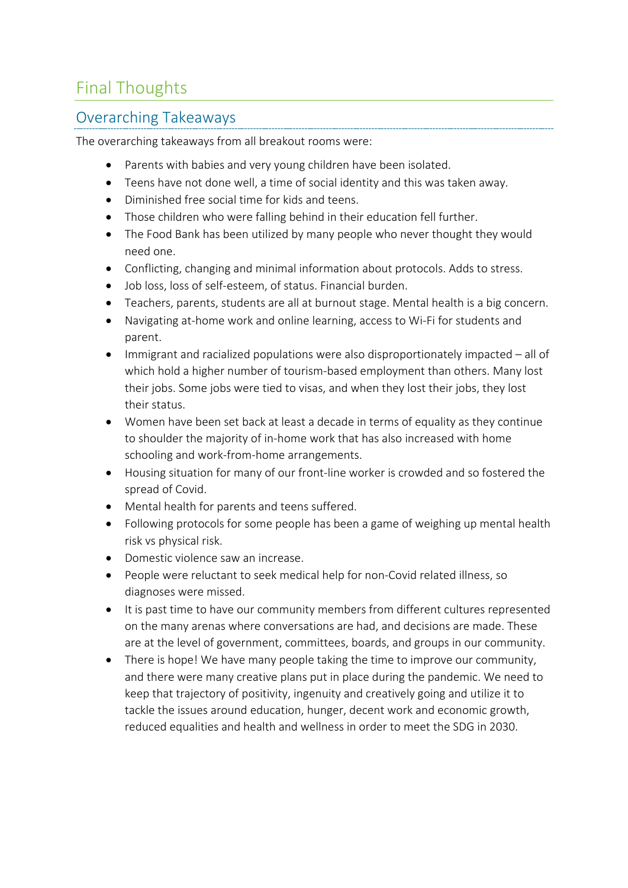## Final Thoughts

## Overarching Takeaways

The overarching takeaways from all breakout rooms were:

- Parents with babies and very young children have been isolated.
- Teens have not done well, a time of social identity and this was taken away.
- Diminished free social time for kids and teens.
- Those children who were falling behind in their education fell further.
- The Food Bank has been utilized by many people who never thought they would need one.
- Conflicting, changing and minimal information about protocols. Adds to stress.
- Job loss, loss of self-esteem, of status. Financial burden.
- Teachers, parents, students are all at burnout stage. Mental health is a big concern.
- Navigating at-home work and online learning, access to Wi-Fi for students and parent.
- Immigrant and racialized populations were also disproportionately impacted all of which hold a higher number of tourism-based employment than others. Many lost their jobs. Some jobs were tied to visas, and when they lost their jobs, they lost their status.
- Women have been set back at least a decade in terms of equality as they continue to shoulder the majority of in-home work that has also increased with home schooling and work-from-home arrangements.
- Housing situation for many of our front-line worker is crowded and so fostered the spread of Covid.
- Mental health for parents and teens suffered.
- Following protocols for some people has been a game of weighing up mental health risk vs physical risk.
- Domestic violence saw an increase.
- People were reluctant to seek medical help for non-Covid related illness, so diagnoses were missed.
- It is past time to have our community members from different cultures represented on the many arenas where conversations are had, and decisions are made. These are at the level of government, committees, boards, and groups in our community.
- There is hope! We have many people taking the time to improve our community, and there were many creative plans put in place during the pandemic. We need to keep that trajectory of positivity, ingenuity and creatively going and utilize it to tackle the issues around education, hunger, decent work and economic growth, reduced equalities and health and wellness in order to meet the SDG in 2030.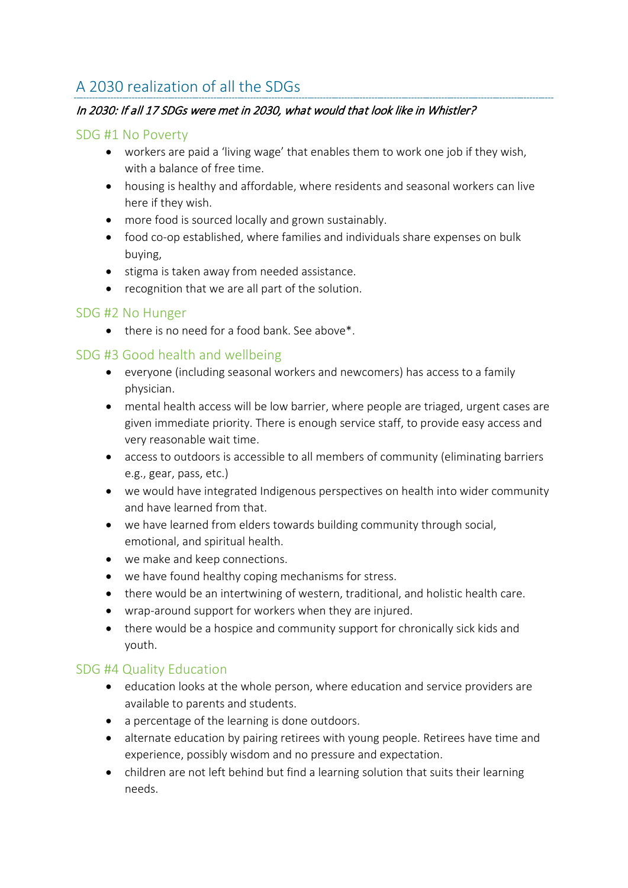## A 2030 realization of all the SDGs

#### In 2030: If all 17 SDGs were met in 2030, what would that look like in Whistler?

#### SDG #1 No Poverty

- workers are paid a 'living wage' that enables them to work one job if they wish, with a balance of free time.
- housing is healthy and affordable, where residents and seasonal workers can live here if they wish.
- more food is sourced locally and grown sustainably.
- food co-op established, where families and individuals share expenses on bulk buying,
- stigma is taken away from needed assistance.
- recognition that we are all part of the solution.

#### SDG #2 No Hunger

• there is no need for a food bank. See above\*.

#### SDG #3 Good health and wellbeing

- everyone (including seasonal workers and newcomers) has access to a family physician.
- mental health access will be low barrier, where people are triaged, urgent cases are given immediate priority. There is enough service staff, to provide easy access and very reasonable wait time.
- access to outdoors is accessible to all members of community (eliminating barriers e.g., gear, pass, etc.)
- we would have integrated Indigenous perspectives on health into wider community and have learned from that.
- we have learned from elders towards building community through social, emotional, and spiritual health.
- we make and keep connections.
- we have found healthy coping mechanisms for stress.
- there would be an intertwining of western, traditional, and holistic health care.
- wrap-around support for workers when they are injured.
- there would be a hospice and community support for chronically sick kids and youth.

#### SDG #4 Quality Education

- education looks at the whole person, where education and service providers are available to parents and students.
- a percentage of the learning is done outdoors.
- alternate education by pairing retirees with young people. Retirees have time and experience, possibly wisdom and no pressure and expectation.
- children are not left behind but find a learning solution that suits their learning needs.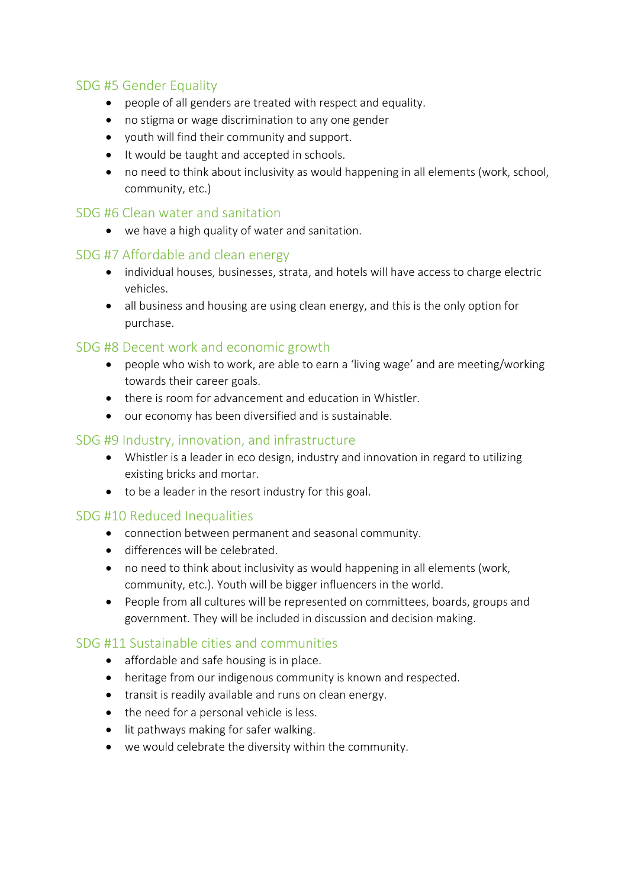#### SDG #5 Gender Equality

- people of all genders are treated with respect and equality.
- no stigma or wage discrimination to any one gender
- youth will find their community and support.
- It would be taught and accepted in schools.
- no need to think about inclusivity as would happening in all elements (work, school, community, etc.)

#### SDG #6 Clean water and sanitation

• we have a high quality of water and sanitation.

#### SDG #7 Affordable and clean energy

- individual houses, businesses, strata, and hotels will have access to charge electric vehicles.
- all business and housing are using clean energy, and this is the only option for purchase.

#### SDG #8 Decent work and economic growth

- people who wish to work, are able to earn a 'living wage' and are meeting/working towards their career goals.
- there is room for advancement and education in Whistler.
- our economy has been diversified and is sustainable.

#### SDG #9 Industry, innovation, and infrastructure

- Whistler is a leader in eco design, industry and innovation in regard to utilizing existing bricks and mortar.
- to be a leader in the resort industry for this goal.

#### SDG #10 Reduced Inequalities

- connection between permanent and seasonal community.
- differences will be celebrated.
- no need to think about inclusivity as would happening in all elements (work, community, etc.). Youth will be bigger influencers in the world.
- People from all cultures will be represented on committees, boards, groups and government. They will be included in discussion and decision making.

#### SDG #11 Sustainable cities and communities

- affordable and safe housing is in place.
- heritage from our indigenous community is known and respected.
- transit is readily available and runs on clean energy.
- the need for a personal vehicle is less.
- lit pathways making for safer walking.
- we would celebrate the diversity within the community.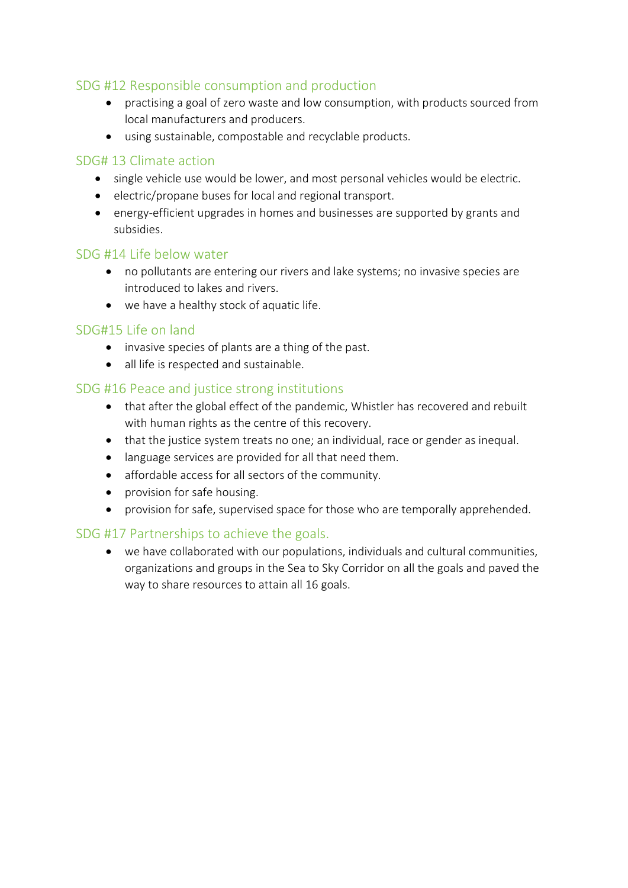#### SDG #12 Responsible consumption and production

- practising a goal of zero waste and low consumption, with products sourced from local manufacturers and producers.
- using sustainable, compostable and recyclable products.

#### SDG# 13 Climate action

- single vehicle use would be lower, and most personal vehicles would be electric.
- electric/propane buses for local and regional transport.
- energy-efficient upgrades in homes and businesses are supported by grants and subsidies.

#### SDG #14 Life below water

- no pollutants are entering our rivers and lake systems; no invasive species are introduced to lakes and rivers.
- we have a healthy stock of aquatic life.

#### SDG#15 Life on land

- invasive species of plants are a thing of the past.
- all life is respected and sustainable.

#### SDG #16 Peace and justice strong institutions

- that after the global effect of the pandemic, Whistler has recovered and rebuilt with human rights as the centre of this recovery.
- that the justice system treats no one; an individual, race or gender as inequal.
- language services are provided for all that need them.
- affordable access for all sectors of the community.
- provision for safe housing.
- provision for safe, supervised space for those who are temporally apprehended.

#### SDG #17 Partnerships to achieve the goals.

• we have collaborated with our populations, individuals and cultural communities, organizations and groups in the Sea to Sky Corridor on all the goals and paved the way to share resources to attain all 16 goals.